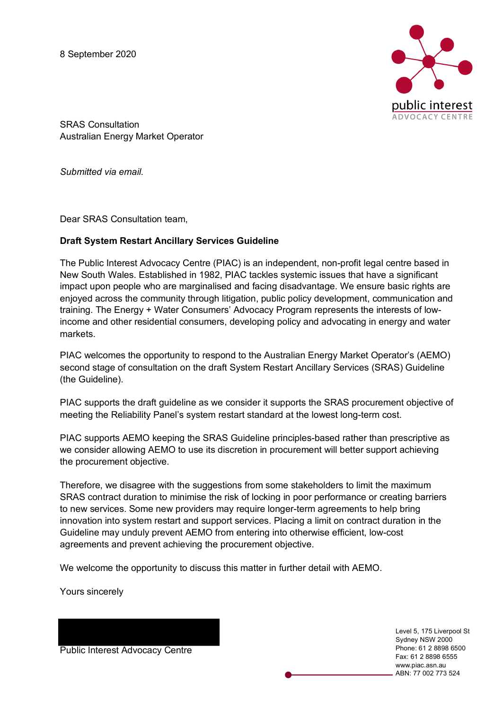8 September 2020



SRAS Consultation Australian Energy Market Operator

*Submitted via email.* 

Dear SRAS Consultation team,

## **Draft System Restart Ancillary Services Guideline**

The Public Interest Advocacy Centre (PIAC) is an independent, non-profit legal centre based in New South Wales. Established in 1982, PIAC tackles systemic issues that have a significant impact upon people who are marginalised and facing disadvantage. We ensure basic rights are enjoyed across the community through litigation, public policy development, communication and training. The Energy + Water Consumers' Advocacy Program represents the interests of lowincome and other residential consumers, developing policy and advocating in energy and water markets.

PIAC welcomes the opportunity to respond to the Australian Energy Market Operator's (AEMO) second stage of consultation on the draft System Restart Ancillary Services (SRAS) Guideline (the Guideline).

PIAC supports the draft guideline as we consider it supports the SRAS procurement objective of meeting the Reliability Panel's system restart standard at the lowest long-term cost.

PIAC supports AEMO keeping the SRAS Guideline principles-based rather than prescriptive as we consider allowing AEMO to use its discretion in procurement will better support achieving the procurement objective.

Therefore, we disagree with the suggestions from some stakeholders to limit the maximum SRAS contract duration to minimise the risk of locking in poor performance or creating barriers to new services. Some new providers may require longer-term agreements to help bring innovation into system restart and support services. Placing a limit on contract duration in the Guideline may unduly prevent AEMO from entering into otherwise efficient, low-cost agreements and prevent achieving the procurement objective.

We welcome the opportunity to discuss this matter in further detail with AEMO.

Yours sincerely

Public Interest Advocacy Centre

Level 5, 175 Liverpool St Sydney NSW 2000 Phone: 61 2 8898 6500 Fax: 61 2 8898 6555 www.piac.asn.au ABN: 77 002 773 524